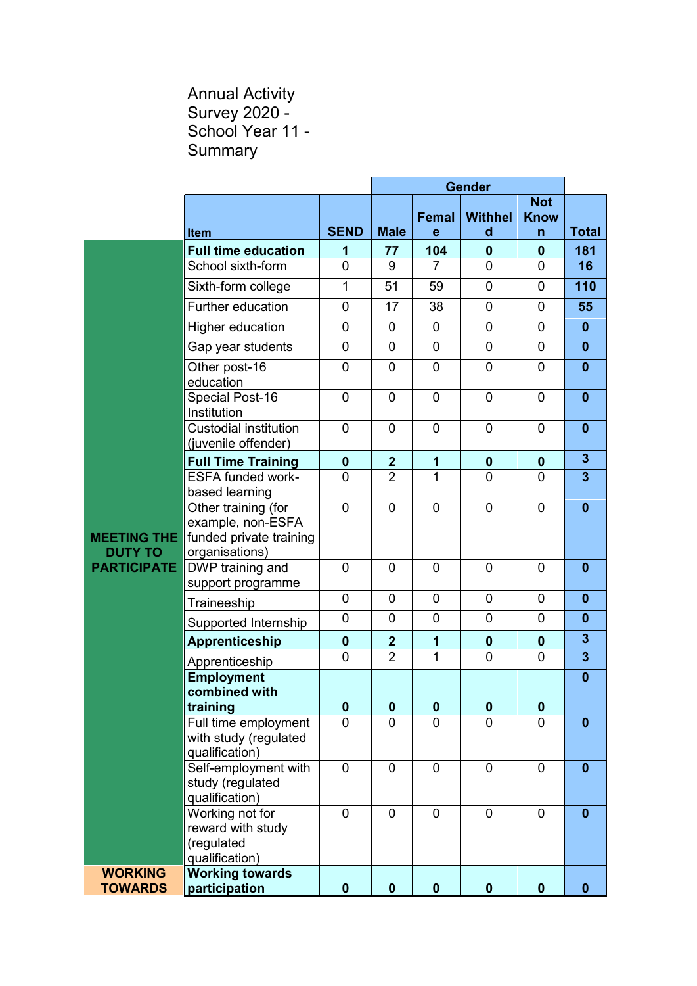## Annual Activity Survey 2020 - School Year 11 - **Summary**

|                                      |                                                                                       |                |                  |                   | <b>Gender</b>       |                                |                         |
|--------------------------------------|---------------------------------------------------------------------------------------|----------------|------------------|-------------------|---------------------|--------------------------------|-------------------------|
|                                      | <b>Item</b>                                                                           | <b>SEND</b>    | <b>Male</b>      | <b>Femal</b><br>e | <b>Withhel</b><br>d | <b>Not</b><br><b>Know</b><br>n | <b>Total</b>            |
|                                      | <b>Full time education</b>                                                            | 1              | 77               | 104               | $\mathbf 0$         | $\mathbf 0$                    | 181                     |
|                                      | School sixth-form                                                                     | $\overline{0}$ | 9                | 7                 | $\overline{0}$      | $\overline{0}$                 | 16                      |
|                                      | Sixth-form college                                                                    | 1              | 51               | 59                | $\mathbf 0$         | 0                              | 110                     |
|                                      | Further education                                                                     | 0              | 17               | 38                | $\mathbf 0$         | $\mathbf 0$                    | 55                      |
|                                      | Higher education                                                                      | 0              | $\overline{0}$   | $\mathbf 0$       | 0                   | $\overline{0}$                 | $\mathbf{0}$            |
|                                      | Gap year students                                                                     | 0              | $\overline{0}$   | $\mathbf 0$       | $\overline{0}$      | $\overline{0}$                 | $\mathbf{0}$            |
|                                      | Other post-16<br>education                                                            | 0              | 0                | 0                 | 0                   | 0                              | $\bf{0}$                |
|                                      | Special Post-16<br>Institution                                                        | $\overline{0}$ | $\mathbf 0$      | 0                 | $\overline{0}$      | $\overline{0}$                 | $\mathbf{0}$            |
|                                      | <b>Custodial institution</b><br>(juvenile offender)                                   | 0              | $\overline{0}$   | $\overline{0}$    | $\overline{0}$      | $\overline{0}$                 | $\mathbf{0}$            |
|                                      | <b>Full Time Training</b>                                                             | $\mathbf 0$    | $\boldsymbol{2}$ | 1                 | $\mathbf 0$         | $\mathbf 0$                    | $\mathbf{3}$            |
|                                      | <b>ESFA funded work-</b><br>based learning                                            | $\overline{0}$ | $\overline{2}$   | $\mathbf{1}$      | $\overline{0}$      | $\overline{0}$                 | $\overline{3}$          |
| <b>MEETING THE</b><br><b>DUTY TO</b> | Other training (for<br>example, non-ESFA<br>funded private training<br>organisations) | $\overline{0}$ | $\mathbf 0$      | 0                 | $\mathbf 0$         | $\mathbf 0$                    | $\bf{0}$                |
| <b>PARTICIPATE</b>                   | DWP training and<br>support programme                                                 | 0              | $\mathbf 0$      | $\mathbf 0$       | $\overline{0}$      | $\overline{0}$                 | $\bf{0}$                |
|                                      | Traineeship                                                                           | $\mathbf 0$    | $\mathbf 0$      | $\mathbf 0$       | $\overline{0}$      | $\overline{0}$                 | $\mathbf{0}$            |
|                                      | Supported Internship                                                                  | 0              | 0                | 0                 | $\mathbf 0$         | 0                              | $\bf{0}$                |
|                                      | Apprenticeship                                                                        | $\bf{0}$       | $\boldsymbol{2}$ | 1                 | $\boldsymbol{0}$    | $\mathbf 0$                    | $\overline{\mathbf{3}}$ |
|                                      | Apprenticeship                                                                        | $\overline{0}$ | $\overline{2}$   | 1                 | $\mathbf 0$         | $\overline{0}$                 | $\overline{\mathbf{3}}$ |
|                                      | <b>Employment</b><br>combined with<br>training                                        | $\pmb{0}$      | $\bf{0}$         | $\pmb{0}$         | $\pmb{0}$           | $\boldsymbol{0}$               | $\bf{0}$                |
|                                      | Full time employment<br>with study (regulated<br>qualification)                       | $\overline{0}$ | $\overline{0}$   | 0                 | $\overline{0}$      | $\overline{0}$                 | $\bf{0}$                |
|                                      | Self-employment with<br>study (regulated<br>qualification)                            | $\overline{0}$ | $\overline{0}$   | $\mathbf 0$       | $\overline{0}$      | $\overline{0}$                 | $\bf{0}$                |
|                                      | Working not for<br>reward with study<br>(regulated<br>qualification)                  | $\overline{0}$ | $\mathbf{0}$     | $\overline{0}$    | $\overline{0}$      | $\overline{0}$                 | $\bf{0}$                |
| <b>WORKING</b><br><b>TOWARDS</b>     | <b>Working towards</b><br>participation                                               | $\mathbf 0$    | $\mathbf 0$      | $\mathbf 0$       | $\boldsymbol{0}$    | $\mathbf 0$                    | $\mathbf{0}$            |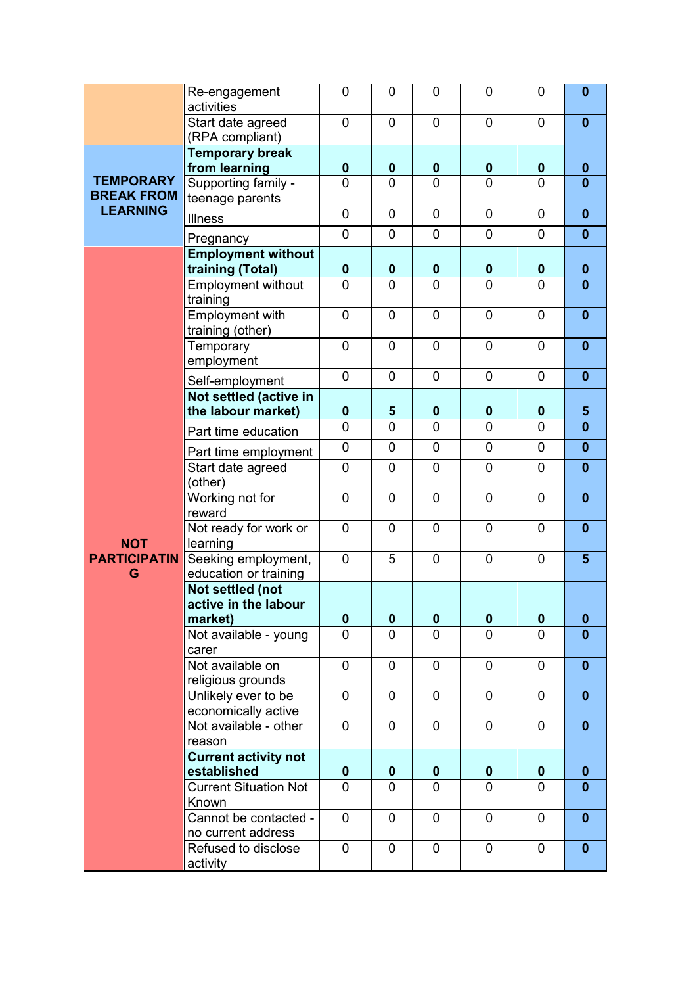|                                       | Re-engagement<br>activities                  | 0              | 0                          | 0                             | 0                          | 0                   | $\mathbf{0}$                 |
|---------------------------------------|----------------------------------------------|----------------|----------------------------|-------------------------------|----------------------------|---------------------|------------------------------|
|                                       | Start date agreed<br>(RPA compliant)         | 0              | $\mathbf 0$                | $\overline{0}$                | $\overline{0}$             | 0                   | $\mathbf{0}$                 |
|                                       | <b>Temporary break</b><br>from learning      | 0              | $\boldsymbol{0}$           | $\boldsymbol{0}$              | $\boldsymbol{0}$           | $\boldsymbol{0}$    | $\bf{0}$                     |
| <b>TEMPORARY</b><br><b>BREAK FROM</b> | Supporting family -<br>teenage parents       | $\overline{0}$ | $\overline{0}$             | $\overline{0}$                | $\overline{0}$             | $\overline{0}$      | $\bf{0}$                     |
| <b>LEARNING</b>                       | <b>Illness</b>                               | 0<br>0         | $\mathbf 0$<br>$\mathbf 0$ | $\overline{0}$<br>$\mathbf 0$ | $\mathbf 0$<br>$\mathbf 0$ | $\overline{0}$<br>0 | $\mathbf{0}$<br>$\mathbf{0}$ |
|                                       | Pregnancy<br><b>Employment without</b>       |                |                            |                               |                            |                     |                              |
|                                       | training (Total)                             | $\bf{0}$       | $\mathbf 0$                | $\boldsymbol{0}$              | $\mathbf 0$                | $\mathbf 0$         | $\mathbf{0}$                 |
|                                       | <b>Employment without</b><br>training        | $\overline{0}$ | $\Omega$                   | $\mathbf{0}$                  | 0                          | $\mathbf{0}$        | $\bf{0}$                     |
|                                       | <b>Employment with</b><br>training (other)   | $\overline{0}$ | $\overline{0}$             | $\mathbf 0$                   | $\overline{0}$             | $\overline{0}$      | $\mathbf{0}$                 |
|                                       | Temporary<br>employment                      | $\overline{0}$ | $\overline{0}$             | $\overline{0}$                | $\overline{0}$             | $\overline{0}$      | $\mathbf{0}$                 |
|                                       | Self-employment                              | 0              | $\mathbf 0$                | $\mathbf 0$                   | 0                          | 0                   | $\mathbf{0}$                 |
|                                       | Not settled (active in<br>the labour market) | $\bf{0}$       | $5\phantom{1}$             | $\bf{0}$                      | $\boldsymbol{0}$           | $\mathbf 0$         | $5\phantom{.0}$              |
| <b>NOT</b>                            | Part time education                          | 0              | $\overline{0}$             | $\mathbf 0$                   | $\overline{0}$             | $\overline{0}$      | $\mathbf{0}$                 |
|                                       | Part time employment                         | $\mathbf 0$    | 0                          | 0                             | $\mathbf 0$                | 0                   | $\mathbf{0}$                 |
|                                       | Start date agreed<br>(other)                 | $\mathbf 0$    | $\mathbf 0$                | 0                             | $\mathbf 0$                | 0                   | $\mathbf{0}$                 |
|                                       | Working not for<br>reward                    | $\overline{0}$ | 0                          | $\mathbf 0$                   | $\overline{0}$             | $\overline{0}$      | $\mathbf{0}$                 |
|                                       | Not ready for work or<br>learning            | $\overline{0}$ | $\overline{0}$             | $\overline{0}$                | $\overline{0}$             | $\overline{0}$      | $\mathbf{0}$                 |
| <b>PARTICIPATIN</b><br>G              | Seeking employment,<br>education or training | 0              | 5                          | 0                             | $\mathbf 0$                | 0                   | $5\phantom{.0}$              |
|                                       | Not settled (not<br>active in the labour     |                |                            |                               |                            |                     |                              |
|                                       | market)                                      | $\mathbf 0$    | $\mathbf 0$                | $\boldsymbol{0}$              | $\boldsymbol{0}$           | $\boldsymbol{0}$    | $\boldsymbol{0}$             |
|                                       | Not available - young<br>carer               | $\overline{0}$ | $\overline{0}$             | $\overline{0}$                | 0                          | $\overline{0}$      | $\mathbf{0}$                 |
|                                       | Not available on<br>religious grounds        | 0              | $\mathbf 0$                | 0                             | $\mathbf 0$                | 0                   | $\mathbf{0}$                 |
|                                       | Unlikely ever to be<br>economically active   | 0              | $\mathbf 0$                | $\mathbf 0$                   | 0                          | 0                   | $\mathbf{0}$                 |
|                                       | Not available - other<br>reason              | 0              | $\mathbf 0$                | $\overline{0}$                | $\mathbf 0$                | 0                   | $\mathbf{0}$                 |
|                                       | <b>Current activity not</b>                  |                |                            |                               |                            |                     |                              |
|                                       | established                                  | 0              | $\mathbf 0$                | $\bf{0}$                      | $\mathbf{0}$               | 0                   | $\mathbf{0}$                 |
|                                       | <b>Current Situation Not</b><br>Known        | $\overline{0}$ | 0                          | 0                             | 0                          | $\overline{0}$      | $\mathbf{0}$                 |
|                                       | Cannot be contacted -<br>no current address  | 0              | $\mathbf 0$                | 0                             | 0                          | 0                   | $\mathbf{0}$                 |
|                                       | Refused to disclose<br>activity              | 0              | $\mathbf 0$                | $\mathbf 0$                   | $\mathbf 0$                | $\mathbf 0$         | $\mathbf{0}$                 |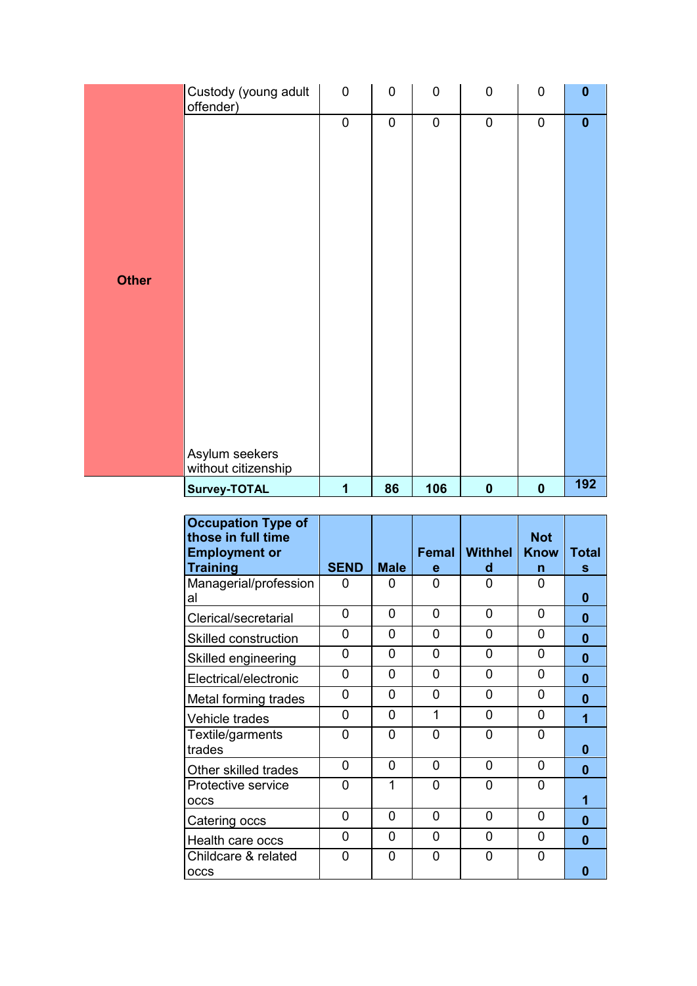|              | Custody (young adult<br>offender)     | $\mathbf 0$    | $\mathbf 0$ | $\mathbf 0$ | $\mathbf 0$ | $\mathbf 0$ | $\mathbf 0$ |
|--------------|---------------------------------------|----------------|-------------|-------------|-------------|-------------|-------------|
|              |                                       | $\overline{0}$ | $\pmb{0}$   | $\pmb{0}$   | $\pmb{0}$   | $\pmb{0}$   | $\mathbf 0$ |
|              |                                       |                |             |             |             |             |             |
|              |                                       |                |             |             |             |             |             |
|              |                                       |                |             |             |             |             |             |
|              |                                       |                |             |             |             |             |             |
| <b>Other</b> |                                       |                |             |             |             |             |             |
|              |                                       |                |             |             |             |             |             |
|              |                                       |                |             |             |             |             |             |
|              |                                       |                |             |             |             |             |             |
|              |                                       |                |             |             |             |             |             |
|              |                                       |                |             |             |             |             |             |
|              |                                       |                |             |             |             |             |             |
|              | Asylum seekers<br>without citizenship |                |             |             |             |             |             |
|              | Survey-TOTAL                          | 1              | 86          | 106         | $\pmb{0}$   | $\mathbf 0$ | 192         |

| <b>Occupation Type of</b><br>those in full time |                |             |            |                     | <b>Not</b>       |            |
|-------------------------------------------------|----------------|-------------|------------|---------------------|------------------|------------|
| <b>Employment or</b><br><b>Training</b>         | <b>SEND</b>    | <b>Male</b> | Femal<br>e | <b>Withhel</b><br>d | <b>Know</b><br>n | Total<br>s |
| Managerial/profession<br>al                     | 0              | 0           | 0          | 0                   | 0                | 0          |
| Clerical/secretarial                            | 0              | 0           | 0          | 0                   | 0                | $\bf{0}$   |
| Skilled construction                            | 0              | 0           | 0          | 0                   | 0                | 0          |
| Skilled engineering                             | $\Omega$       | 0           | 0          | 0                   | $\Omega$         | 0          |
| Electrical/electronic                           | 0              | 0           | 0          | 0                   | $\Omega$         | ŋ          |
| Metal forming trades                            | 0              | 0           | 0          | 0                   | $\Omega$         | ŋ          |
| Vehicle trades                                  | 0              | 0           | 1          | 0                   | $\Omega$         | 4          |
| Textile/garments<br>trades                      | 0              | 0           | $\Omega$   | O                   | $\Omega$         | 0          |
| Other skilled trades                            | $\Omega$       | 0           | 0          | 0                   | $\Omega$         | 0          |
| Protective service<br>OCCS                      | 0              | 1           | 0          | 0                   | O                |            |
| Catering occs                                   | $\overline{0}$ | 0           | 0          | 0                   | $\Omega$         | ŋ          |
| Health care occs                                | $\overline{0}$ | 0           | 0          | 0                   | $\Omega$         | U          |
| Childcare & related<br><b>OCCS</b>              | 0              | 0           | 0          | 0                   | $\Omega$         | n          |